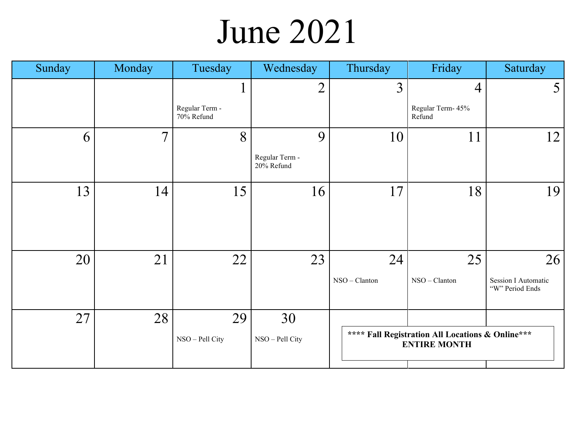### June 2021

| Sunday | Monday         | Tuesday                      | Wednesday                    | Thursday      | Friday                                                                  | Saturday                                      |
|--------|----------------|------------------------------|------------------------------|---------------|-------------------------------------------------------------------------|-----------------------------------------------|
|        |                |                              | $\overline{2}$               | 3             | $\overline{4}$                                                          | 5                                             |
|        |                | Regular Term -<br>70% Refund |                              |               | Regular Term- 45%<br>Refund                                             |                                               |
| 6      | $\overline{7}$ | 8                            | 9                            | 10            | 11                                                                      | 12                                            |
|        |                |                              | Regular Term -<br>20% Refund |               |                                                                         |                                               |
| 13     | 14             | 15                           | 16                           | 17            | 18                                                                      | 19                                            |
|        |                |                              |                              |               |                                                                         |                                               |
| 20     | 21             | 22                           | 23                           | 24            | 25                                                                      | 26                                            |
|        |                |                              |                              | NSO - Clanton | NSO - Clanton                                                           | <b>Session I Automatic</b><br>"W" Period Ends |
| 27     | 28             | 29                           | 30                           |               |                                                                         |                                               |
|        |                | NSO - Pell City              | NSO - Pell City              |               | **** Fall Registration All Locations & Online***<br><b>ENTIRE MONTH</b> |                                               |
|        |                |                              |                              |               |                                                                         |                                               |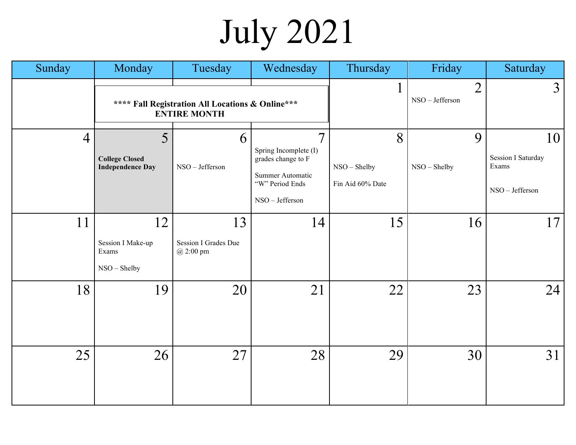# July 2021

| Sunday         | Monday                                                | Tuesday                                                                 | Wednesday                                                                                                               | Thursday                              | Friday                            | Saturday                                                    |
|----------------|-------------------------------------------------------|-------------------------------------------------------------------------|-------------------------------------------------------------------------------------------------------------------------|---------------------------------------|-----------------------------------|-------------------------------------------------------------|
|                |                                                       | **** Fall Registration All Locations & Online***<br><b>ENTIRE MONTH</b> |                                                                                                                         | $\mathbf{1}$                          | $\overline{2}$<br>NSO - Jefferson | $\mathfrak{Z}$                                              |
| $\overline{4}$ | 5<br><b>College Closed</b><br><b>Independence Day</b> | 6<br>NSO - Jefferson                                                    | $\overline{7}$<br>Spring Incomplete (I)<br>grades change to F<br>Summer Automatic<br>"W" Period Ends<br>NSO - Jefferson | 8<br>NSO - Shelby<br>Fin Aid 60% Date | 9<br>NSO - Shelby                 | 10<br><b>Session I Saturday</b><br>Exams<br>NSO - Jefferson |
| 11             | 12<br>Session I Make-up<br>Exams<br>NSO - Shelby      | 13<br>Session I Grades Due<br>@ 2:00 pm                                 | 14                                                                                                                      | 15                                    | 16                                | 17 <sup>1</sup>                                             |
| 18             | 19                                                    | 20                                                                      | 21                                                                                                                      | 22                                    | 23                                | 24                                                          |
| 25             | 26                                                    | 27                                                                      | 28                                                                                                                      | 29                                    | 30                                | 31                                                          |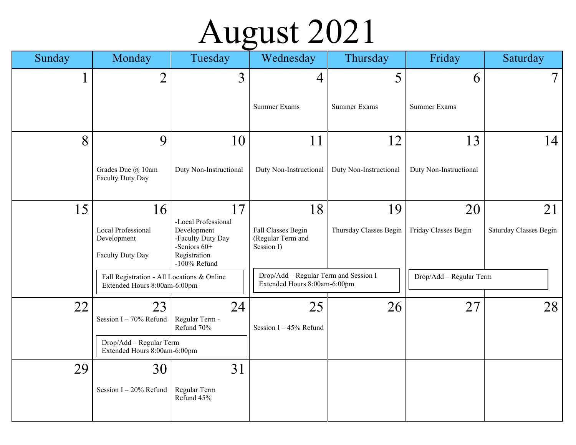### August 2021

| Sunday       | Monday                                                                     | Tuesday                                                                                                 | Wednesday                                                             | Thursday               | Friday                  | Saturday               |
|--------------|----------------------------------------------------------------------------|---------------------------------------------------------------------------------------------------------|-----------------------------------------------------------------------|------------------------|-------------------------|------------------------|
| $\mathbf{I}$ | $\overline{2}$                                                             | $\overline{3}$                                                                                          | 4                                                                     | 5                      | 6                       | $7\phantom{.}$         |
|              |                                                                            |                                                                                                         | <b>Summer Exams</b>                                                   | Summer Exams           | <b>Summer Exams</b>     |                        |
| 8            | 9                                                                          | 10                                                                                                      | 11                                                                    | 12                     | 13                      | 14                     |
|              | Grades Due @ 10am<br>Faculty Duty Day                                      | Duty Non-Instructional                                                                                  | Duty Non-Instructional                                                | Duty Non-Instructional | Duty Non-Instructional  |                        |
| 15           | 16                                                                         | 17                                                                                                      | 18                                                                    | 19                     | 20                      | 21                     |
|              | Local Professional<br>Development<br>Faculty Duty Day                      | -Local Professional<br>Development<br>-Faculty Duty Day<br>-Seniors 60+<br>Registration<br>-100% Refund | Fall Classes Begin<br>(Regular Term and<br>Session I)                 | Thursday Classes Begin | Friday Classes Begin    | Saturday Classes Begin |
|              | Fall Registration - All Locations & Online<br>Extended Hours 8:00am-6:00pm |                                                                                                         | Drop/Add - Regular Term and Session I<br>Extended Hours 8:00am-6:00pm |                        | Drop/Add - Regular Term |                        |
| 22           | 23<br>Session I - 70% Refund                                               | 24<br>Regular Term -<br>Refund 70%                                                                      | 25<br>Session I-45% Refund                                            | 26                     | 27                      | 28                     |
|              | Drop/Add - Regular Term<br>Extended Hours 8:00am-6:00pm                    |                                                                                                         |                                                                       |                        |                         |                        |
| 29           | 30                                                                         | 31                                                                                                      |                                                                       |                        |                         |                        |
|              | Session I-20% Refund                                                       | Regular Term<br>Refund 45%                                                                              |                                                                       |                        |                         |                        |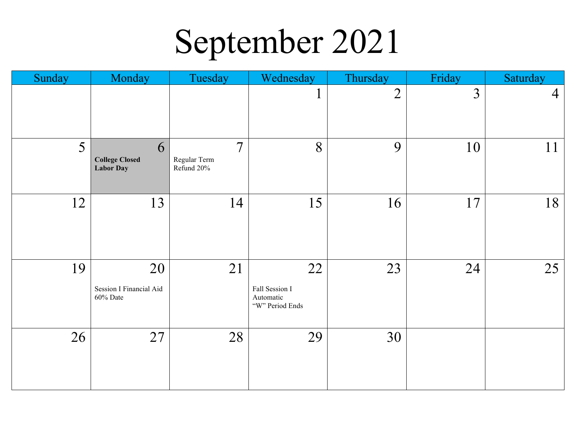## September 2021

| Sunday | Monday                                         | Tuesday                                       | Wednesday                                            | Thursday       | Friday | Saturday       |
|--------|------------------------------------------------|-----------------------------------------------|------------------------------------------------------|----------------|--------|----------------|
|        |                                                |                                               | $\mathbf{r}$                                         | $\overline{2}$ | 3      | $\overline{4}$ |
| 5      | 6<br><b>College Closed</b><br><b>Labor Day</b> | $7\phantom{.0}$<br>Regular Term<br>Refund 20% | 8                                                    | 9              | 10     | 11             |
| 12     | 13                                             | 14                                            | 15                                                   | 16             | 17     | 18             |
| 19     | 20<br>Session I Financial Aid<br>60% Date      | 21                                            | 22<br>Fall Session I<br>Automatic<br>"W" Period Ends | 23             | 24     | 25             |
| 26     | 27                                             | 28                                            | 29                                                   | 30             |        |                |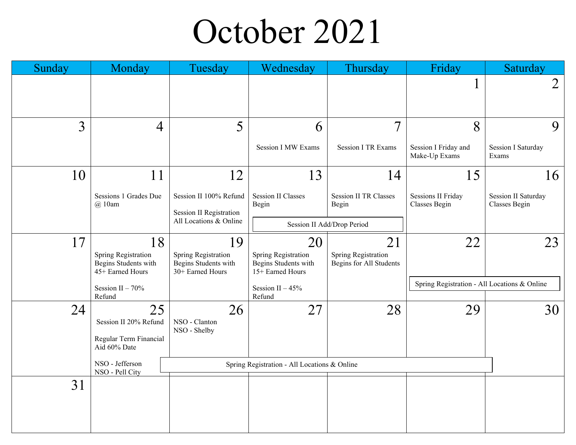#### October 2021

| Sunday | Monday                                                                | Tuesday                                                               | Wednesday                                                             | Thursday                                             | Friday                                       | Saturday                             |  |
|--------|-----------------------------------------------------------------------|-----------------------------------------------------------------------|-----------------------------------------------------------------------|------------------------------------------------------|----------------------------------------------|--------------------------------------|--|
|        |                                                                       |                                                                       |                                                                       |                                                      |                                              | 2                                    |  |
| 3      | $\overline{4}$                                                        | 5                                                                     | 6                                                                     | $\overline{7}$                                       | 8                                            | 9                                    |  |
|        |                                                                       |                                                                       | <b>Session I MW Exams</b>                                             | <b>Session I TR Exams</b>                            | Session I Friday and<br>Make-Up Exams        | <b>Session I Saturday</b><br>Exams   |  |
| 10     | 11                                                                    | 12                                                                    | 13                                                                    | 14                                                   | 15                                           | 16                                   |  |
|        | Sessions 1 Grades Due<br>@10am                                        | Session II 100% Refund<br><b>Session II Registration</b>              | <b>Session II Classes</b><br>Begin                                    | <b>Session II TR Classes</b><br>Begin                | <b>Sessions II Friday</b><br>Classes Begin   | Session II Saturday<br>Classes Begin |  |
|        |                                                                       | All Locations & Online                                                |                                                                       | Session II Add/Drop Period                           |                                              |                                      |  |
| 17     | 18<br>Spring Registration<br>Begins Students with<br>45+ Earned Hours | 19<br>Spring Registration<br>Begins Students with<br>30+ Earned Hours | 20<br>Spring Registration<br>Begins Students with<br>15+ Earned Hours | 21<br>Spring Registration<br>Begins for All Students | 22                                           | 23                                   |  |
|        | Session II $-70%$<br>Refund                                           |                                                                       | Session II $-45%$<br>Refund                                           |                                                      | Spring Registration - All Locations & Online |                                      |  |
| 24     | 25<br>Session II 20% Refund<br>Regular Term Financial<br>Aid 60% Date | 26<br>NSO - Clanton<br>NSO - Shelby                                   | 27                                                                    | 28                                                   | 29                                           | 30                                   |  |
|        | NSO - Jefferson<br>NSO - Pell City                                    |                                                                       | Spring Registration - All Locations & Online                          |                                                      |                                              |                                      |  |
| 31     |                                                                       |                                                                       |                                                                       |                                                      |                                              |                                      |  |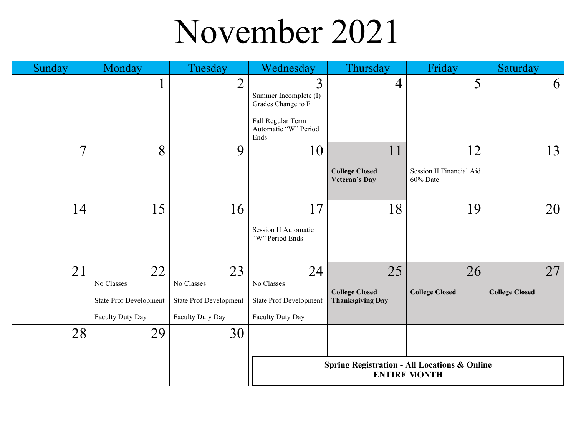### November 2021

| Sunday         | Monday                         | Tuesday                       | Wednesday                                         | Thursday                                      | Friday                                                  | Saturday              |
|----------------|--------------------------------|-------------------------------|---------------------------------------------------|-----------------------------------------------|---------------------------------------------------------|-----------------------|
|                | $\blacksquare$<br>$\mathbf{I}$ | $\overline{2}$                | 3<br>Summer Incomplete (I)<br>Grades Change to F  | $\overline{4}$                                | 5                                                       | 6                     |
|                |                                |                               | Fall Regular Term<br>Automatic "W" Period<br>Ends |                                               |                                                         |                       |
| $\overline{7}$ | 8                              | 9                             | 10                                                | 11                                            | 12                                                      | 13                    |
|                |                                |                               |                                                   | <b>College Closed</b><br><b>Veteran's Day</b> | Session II Financial Aid<br>60% Date                    |                       |
| 14             | 15                             | 16                            | 17                                                | 18                                            | 19                                                      | 20                    |
|                |                                |                               | <b>Session II Automatic</b><br>"W" Period Ends    |                                               |                                                         |                       |
| 21             | 22                             | 23                            | 24                                                | 25                                            | 26                                                      | 27                    |
|                | No Classes                     | No Classes                    | No Classes                                        | <b>College Closed</b>                         | <b>College Closed</b>                                   | <b>College Closed</b> |
|                | State Prof Development         | <b>State Prof Development</b> | <b>State Prof Development</b>                     | <b>Thanksgiving Day</b>                       |                                                         |                       |
|                | Faculty Duty Day               | Faculty Duty Day              | Faculty Duty Day                                  |                                               |                                                         |                       |
| 28             | 29                             | 30                            |                                                   |                                               |                                                         |                       |
|                |                                |                               |                                                   |                                               | <b>Spring Registration - All Locations &amp; Online</b> |                       |
|                |                                |                               |                                                   |                                               | <b>ENTIRE MONTH</b>                                     |                       |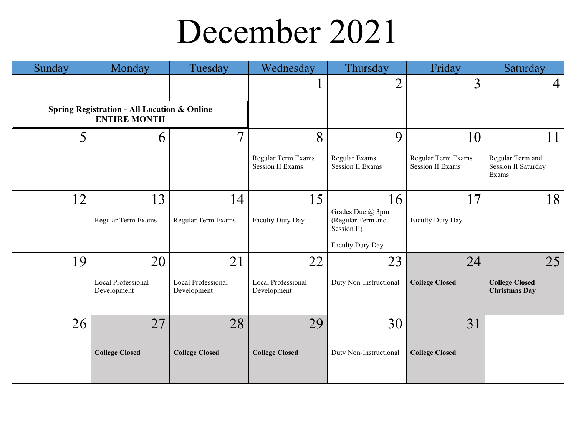### December 2021

| Sunday | Monday                                                                        | Tuesday                           | Wednesday                                     | Thursday                                             | Friday                                        | Saturday                                                |
|--------|-------------------------------------------------------------------------------|-----------------------------------|-----------------------------------------------|------------------------------------------------------|-----------------------------------------------|---------------------------------------------------------|
|        |                                                                               |                                   |                                               | $\overline{2}$                                       | 3                                             | 4                                                       |
|        | <b>Spring Registration - All Location &amp; Online</b><br><b>ENTIRE MONTH</b> |                                   |                                               |                                                      |                                               |                                                         |
| 5      | 6                                                                             | $\overline{7}$                    | 8                                             | 9                                                    | 10                                            | 11                                                      |
|        |                                                                               |                                   | Regular Term Exams<br><b>Session II Exams</b> | Regular Exams<br><b>Session II Exams</b>             | Regular Term Exams<br><b>Session II Exams</b> | Regular Term and<br><b>Session II Saturday</b><br>Exams |
| 12     | 13                                                                            | 14                                | 15                                            | 16                                                   | 17                                            | 18                                                      |
|        | Regular Term Exams                                                            | Regular Term Exams                | Faculty Duty Day                              | Grades Due @ 3pm<br>(Regular Term and<br>Session II) | Faculty Duty Day                              |                                                         |
|        |                                                                               |                                   |                                               | Faculty Duty Day                                     |                                               |                                                         |
| 19     | 20                                                                            | 21                                | 22                                            | 23                                                   | 24                                            | 25                                                      |
|        | Local Professional<br>Development                                             | Local Professional<br>Development | Local Professional<br>Development             | Duty Non-Instructional                               | <b>College Closed</b>                         | <b>College Closed</b><br><b>Christmas Day</b>           |
| 26     | 27                                                                            | 28                                | 29                                            | 30                                                   | 31                                            |                                                         |
|        | <b>College Closed</b>                                                         | <b>College Closed</b>             | <b>College Closed</b>                         | Duty Non-Instructional                               | <b>College Closed</b>                         |                                                         |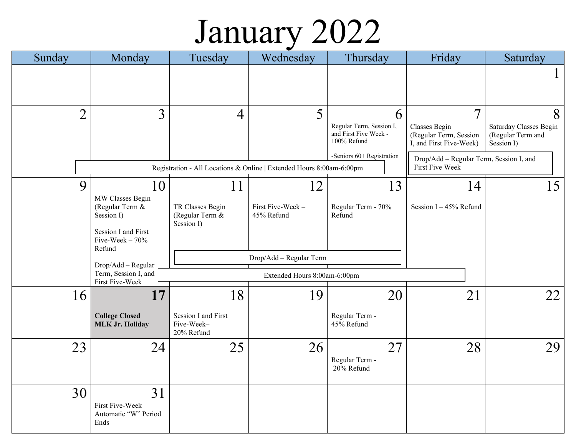### January 2022

| Sunday         | Monday                                            | Tuesday                                                              | Wednesday                      | Thursday                                                         | Friday                                                             | Saturday                                                  |
|----------------|---------------------------------------------------|----------------------------------------------------------------------|--------------------------------|------------------------------------------------------------------|--------------------------------------------------------------------|-----------------------------------------------------------|
|                |                                                   |                                                                      |                                |                                                                  |                                                                    | $\bf{l}$                                                  |
| $\overline{2}$ | 3                                                 | $\overline{4}$                                                       | 5                              | 6                                                                | $\tau$                                                             | 8                                                         |
|                |                                                   |                                                                      |                                | Regular Term, Session I,<br>and First Five Week -<br>100% Refund | Classes Begin<br>(Regular Term, Session<br>I, and First Five-Week) | Saturday Classes Begin<br>(Regular Term and<br>Session I) |
|                |                                                   | Registration - All Locations & Online   Extended Hours 8:00am-6:00pm |                                | -Seniors 60+ Registration                                        | Drop/Add - Regular Term, Session I, and<br>First Five Week         |                                                           |
|                |                                                   |                                                                      |                                |                                                                  |                                                                    |                                                           |
| 9              | 10                                                | 11                                                                   | 12                             | 13                                                               | 14                                                                 | 15                                                        |
|                | MW Classes Begin<br>(Regular Term &<br>Session I) | TR Classes Begin<br>(Regular Term &<br>Session I)                    | First Five-Week-<br>45% Refund | Regular Term - 70%<br>Refund                                     | Session $I - 45%$ Refund                                           |                                                           |
|                | Session I and First<br>Five-Week $-70%$<br>Refund |                                                                      |                                |                                                                  |                                                                    |                                                           |
|                | Drop/Add - Regular                                |                                                                      | Drop/Add - Regular Term        |                                                                  |                                                                    |                                                           |
|                | Term, Session I, and<br>First Five-Week           |                                                                      | Extended Hours 8:00am-6:00pm   |                                                                  |                                                                    |                                                           |
| 16             | 17                                                | 18                                                                   | 19                             | 20                                                               | 21                                                                 | 22                                                        |
|                | <b>College Closed</b><br><b>MLK Jr. Holiday</b>   | Session I and First<br>Five-Week-<br>20% Refund                      |                                | Regular Term -<br>45% Refund                                     |                                                                    |                                                           |
| 23             | 24                                                | 25                                                                   | 26                             | 27                                                               | 28                                                                 | 29                                                        |
|                |                                                   |                                                                      |                                | Regular Term -<br>20% Refund                                     |                                                                    |                                                           |
| 30             | 31                                                |                                                                      |                                |                                                                  |                                                                    |                                                           |
|                | First Five-Week<br>Automatic "W" Period<br>Ends   |                                                                      |                                |                                                                  |                                                                    |                                                           |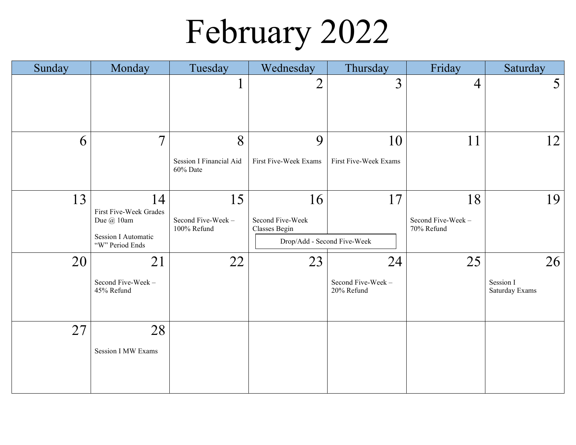# February 2022

| Sunday | Monday                                                                                      | Tuesday                                         | Wednesday                                                              | Thursday                              | Friday                                | Saturday                          |
|--------|---------------------------------------------------------------------------------------------|-------------------------------------------------|------------------------------------------------------------------------|---------------------------------------|---------------------------------------|-----------------------------------|
|        |                                                                                             | $\mathbf{I}$                                    | $\overline{2}$                                                         | $\overline{3}$                        | $\overline{4}$                        | $5\overline{)}$                   |
| 6      | $\overline{7}$                                                                              | 8<br><b>Session I Financial Aid</b><br>60% Date | 9<br>First Five-Week Exams                                             | 10<br>First Five-Week Exams           | 11                                    | 12                                |
| 13     | 14<br>First Five-Week Grades<br>Due @ 10am<br><b>Session I Automatic</b><br>"W" Period Ends | 15<br>Second Five-Week -<br>100% Refund         | 16<br>Second Five-Week<br>Classes Begin<br>Drop/Add - Second Five-Week | 17                                    | 18<br>Second Five-Week-<br>70% Refund | 19                                |
| 20     | 21<br>Second Five-Week -<br>45% Refund                                                      | 22                                              | 23                                                                     | 24<br>Second Five-Week-<br>20% Refund | 25                                    | 26<br>Session I<br>Saturday Exams |
| 27     | 28<br><b>Session I MW Exams</b>                                                             |                                                 |                                                                        |                                       |                                       |                                   |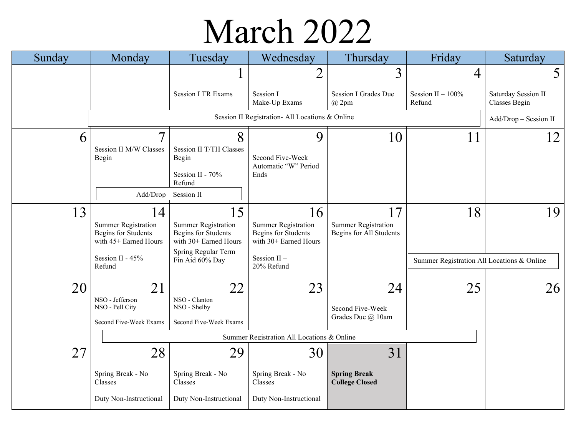### March 2022

| Sunday | Monday                                                                            | Tuesday                                                                    | Wednesday                                                                         | Thursday                                              | Friday                                     | Saturday                             |
|--------|-----------------------------------------------------------------------------------|----------------------------------------------------------------------------|-----------------------------------------------------------------------------------|-------------------------------------------------------|--------------------------------------------|--------------------------------------|
|        |                                                                                   |                                                                            | 2                                                                                 | 3                                                     | 4                                          | 5                                    |
|        |                                                                                   | <b>Session I TR Exams</b>                                                  | Session I<br>Make-Up Exams                                                        | Session I Grades Due<br>$(a)$ 2pm                     | Session II $-100\%$<br>Refund              | Saturday Session II<br>Classes Begin |
|        |                                                                                   |                                                                            | Session II Registration- All Locations & Online                                   |                                                       |                                            | Add/Drop - Session II                |
| 6      | $\overline{7}$                                                                    | 8                                                                          | 9                                                                                 | 10                                                    | 11                                         | 12 <sup>1</sup>                      |
|        | Session II M/W Classes<br>Begin                                                   | Session II T/TH Classes<br>Begin                                           | Second Five-Week                                                                  |                                                       |                                            |                                      |
|        |                                                                                   | Session II - 70%<br>Refund                                                 | Automatic "W" Period<br>Ends                                                      |                                                       |                                            |                                      |
|        | Add/Drop - Session II                                                             |                                                                            |                                                                                   |                                                       |                                            |                                      |
| 13     | 14                                                                                | 15                                                                         | 16                                                                                | 17                                                    | 18                                         | 19                                   |
|        | <b>Summer Registration</b><br><b>Begins for Students</b><br>with 45+ Earned Hours | <b>Summer Registration</b><br>Begins for Students<br>with 30+ Earned Hours | <b>Summer Registration</b><br><b>Begins for Students</b><br>with 30+ Earned Hours | <b>Summer Registration</b><br>Begins for All Students |                                            |                                      |
|        | Session II - 45%<br>Refund                                                        | Spring Regular Term<br>Fin Aid 60% Day                                     | Session II-<br>20% Refund                                                         |                                                       | Summer Registration All Locations & Online |                                      |
| 20     | 21                                                                                | 22                                                                         | 23                                                                                | 24                                                    | 25                                         | 26 <sub>1</sub>                      |
|        | NSO - Jefferson<br>NSO - Pell City                                                | NSO - Clanton<br>NSO - Shelby                                              |                                                                                   | Second Five-Week                                      |                                            |                                      |
|        | Second Five-Week Exams                                                            | Second Five-Week Exams                                                     |                                                                                   | Grades Due @ 10am                                     |                                            |                                      |
|        |                                                                                   |                                                                            | Summer Registration All Locations & Online                                        |                                                       |                                            |                                      |
| 27     | 28                                                                                | 29                                                                         | 30                                                                                | 31                                                    |                                            |                                      |
|        | Spring Break - No<br>Classes                                                      | Spring Break - No<br>Classes                                               | Spring Break - No<br>Classes                                                      | <b>Spring Break</b><br><b>College Closed</b>          |                                            |                                      |
|        | Duty Non-Instructional                                                            | Duty Non-Instructional                                                     | Duty Non-Instructional                                                            |                                                       |                                            |                                      |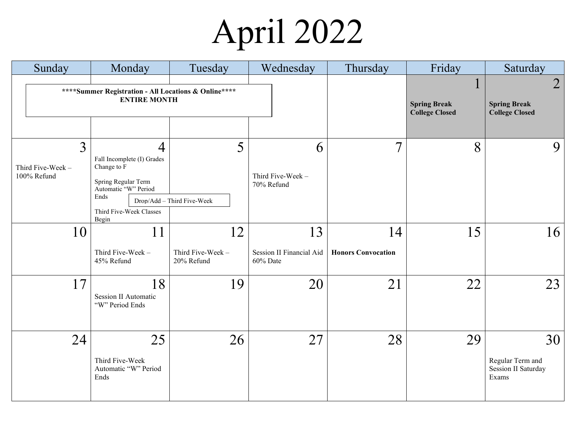# April 2022

| Sunday                                                                       | Monday                                                                                                                                                 | Tuesday                               | Wednesday                                  | Thursday                        | Friday                                            | Saturday                                                       |
|------------------------------------------------------------------------------|--------------------------------------------------------------------------------------------------------------------------------------------------------|---------------------------------------|--------------------------------------------|---------------------------------|---------------------------------------------------|----------------------------------------------------------------|
| **** Summer Registration - All Locations & Online****<br><b>ENTIRE MONTH</b> |                                                                                                                                                        |                                       |                                            |                                 | T<br><b>Spring Break</b><br><b>College Closed</b> | $\overline{2}$<br><b>Spring Break</b><br><b>College Closed</b> |
| 3<br>Third Five-Week -<br>100% Refund                                        | $\overline{4}$<br>Fall Incomplete (I) Grades<br>Change to F<br>Spring Regular Term<br>Automatic "W" Period<br>Ends<br>Third Five-Week Classes<br>Begin | 5<br>Drop/Add - Third Five-Week       | 6<br>Third Five-Week -<br>70% Refund       | $\overline{7}$                  | 8                                                 | 9                                                              |
| 10                                                                           | 11<br>Third Five-Week -<br>45% Refund                                                                                                                  | 12<br>Third Five-Week -<br>20% Refund | 13<br>Session II Financial Aid<br>60% Date | 14<br><b>Honors Convocation</b> | 15                                                | 16 <sup>1</sup>                                                |
| 17                                                                           | 18<br><b>Session II Automatic</b><br>"W" Period Ends                                                                                                   | 19                                    | 20                                         | 21                              | 22                                                | 23                                                             |
| 24                                                                           | 25<br>Third Five-Week<br>Automatic "W" Period<br>Ends                                                                                                  | 26                                    | 27                                         | 28                              | 29                                                | 30<br>Regular Term and<br>Session II Saturday<br>Exams         |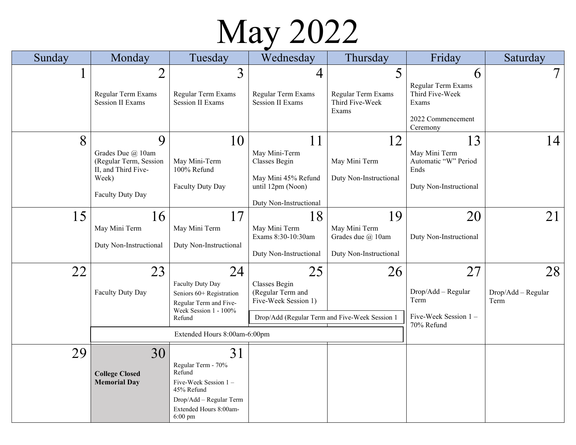### May 2022

| Sunday | Monday                                                                                               | Tuesday                                                                                                                                         | Wednesday                                                                                                          | Thursday                                                           | Friday                                                                               | Saturday                         |
|--------|------------------------------------------------------------------------------------------------------|-------------------------------------------------------------------------------------------------------------------------------------------------|--------------------------------------------------------------------------------------------------------------------|--------------------------------------------------------------------|--------------------------------------------------------------------------------------|----------------------------------|
|        | $\overline{2}$<br>Regular Term Exams<br><b>Session II Exams</b>                                      | 3<br>Regular Term Exams<br><b>Session II Exams</b>                                                                                              | 4<br>Regular Term Exams<br><b>Session II Exams</b>                                                                 | 5<br>Regular Term Exams<br>Third Five-Week<br>Exams                | 6<br>Regular Term Exams<br>Third Five-Week<br>Exams<br>2022 Commencement<br>Ceremony |                                  |
| 8      | 9<br>Grades Due @ 10am<br>(Regular Term, Session<br>II, and Third Five-<br>Week)<br>Faculty Duty Day | 10<br>May Mini-Term<br>100% Refund<br>Faculty Duty Day                                                                                          | 11<br>May Mini-Term<br>Classes Begin<br>May Mini 45% Refund<br>until 12pm (Noon)<br>Duty Non-Instructional         | 12<br>May Mini Term<br>Duty Non-Instructional                      | 13<br>May Mini Term<br>Automatic "W" Period<br>Ends<br>Duty Non-Instructional        | 14                               |
| 15     | 16<br>May Mini Term<br>Duty Non-Instructional                                                        | 17<br>May Mini Term<br>Duty Non-Instructional                                                                                                   | 18<br>May Mini Term<br>Exams 8:30-10:30am<br>Duty Non-Instructional                                                | 19<br>May Mini Term<br>Grades due @ 10am<br>Duty Non-Instructional | 20<br>Duty Non-Instructional                                                         | 21                               |
| 22     | 23<br>Faculty Duty Day                                                                               | 24<br>Faculty Duty Day<br>Seniors 60+ Registration<br>Regular Term and Five-<br>Week Session 1 - 100%<br>Refund<br>Extended Hours 8:00am-6:00pm | 25<br>Classes Begin<br>(Regular Term and<br>Five-Week Session 1)<br>Drop/Add (Regular Term and Five-Week Session 1 | 26                                                                 | 27<br>Drop/Add - Regular<br>Term<br>Five-Week Session 1-<br>70% Refund               | 28<br>Drop/Add - Regular<br>Term |
| 29     | 30<br><b>College Closed</b><br><b>Memorial Day</b>                                                   | 31<br>Regular Term - 70%<br>Refund<br>Five-Week Session 1 -<br>45% Refund<br>Drop/Add - Regular Term<br>Extended Hours 8:00am-<br>$6:00$ pm     |                                                                                                                    |                                                                    |                                                                                      |                                  |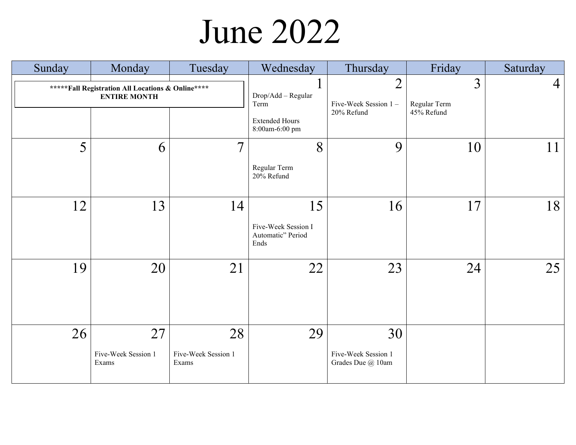### June 2022

| Sunday | Monday                                                                    | Tuesday                            | Wednesday                                                             | Thursday                                             | Friday                          | Saturday |
|--------|---------------------------------------------------------------------------|------------------------------------|-----------------------------------------------------------------------|------------------------------------------------------|---------------------------------|----------|
|        | ***** Fall Registration All Locations & Online****<br><b>ENTIRE MONTH</b> |                                    | Drop/Add - Regular<br>Term<br><b>Extended Hours</b><br>8:00am-6:00 pm | $\overline{2}$<br>Five-Week Session 1-<br>20% Refund | 3<br>Regular Term<br>45% Refund | 4        |
| 5      | 6                                                                         | $\overline{7}$                     | 8<br>Regular Term<br>20% Refund                                       | 9                                                    | 10                              | 11       |
| 12     | 13                                                                        | 14                                 | 15<br>Five-Week Session I<br>Automatic" Period<br>Ends                | 16                                                   | 17                              | 18       |
| 19     | 20                                                                        | 21                                 | 22                                                                    | 23                                                   | 24                              | 25       |
| 26     | 27<br>Five-Week Session 1<br>Exams                                        | 28<br>Five-Week Session 1<br>Exams | 29                                                                    | 30<br>Five-Week Session 1<br>Grades Due @ 10am       |                                 |          |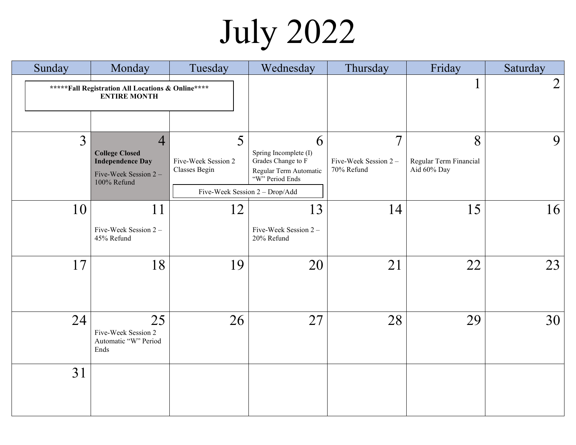# July 2022

| Sunday | Monday                                                                                                     | Tuesday                                   | Wednesday                                                                                                                       | Thursday                                             | Friday                                     | Saturday       |
|--------|------------------------------------------------------------------------------------------------------------|-------------------------------------------|---------------------------------------------------------------------------------------------------------------------------------|------------------------------------------------------|--------------------------------------------|----------------|
|        | ***** Fall Registration All Locations & Online ****<br><b>ENTIRE MONTH</b>                                 |                                           |                                                                                                                                 |                                                      |                                            | $\overline{2}$ |
| 3      | $\overline{4}$<br><b>College Closed</b><br><b>Independence Day</b><br>Five-Week Session 2 -<br>100% Refund | 5<br>Five-Week Session 2<br>Classes Begin | 6<br>Spring Incomplete (I)<br>Grades Change to F<br>Regular Term Automatic<br>"W" Period Ends<br>Five-Week Session 2 - Drop/Add | $\overline{7}$<br>Five-Week Session 2-<br>70% Refund | 8<br>Regular Term Financial<br>Aid 60% Day | 9              |
| 10     | 11<br>Five-Week Session 2 -<br>45% Refund                                                                  | 12                                        | 13<br>Five-Week Session 2 -<br>20% Refund                                                                                       | 14                                                   | 15                                         | 16             |
| 17     | 18                                                                                                         | 19                                        | 20                                                                                                                              | 21                                                   | 22                                         | 23             |
| 24     | 25<br>Five-Week Session 2<br>Automatic "W" Period<br>Ends                                                  | 26                                        | 27                                                                                                                              | 28                                                   | 29                                         | 30             |
| 31     |                                                                                                            |                                           |                                                                                                                                 |                                                      |                                            |                |